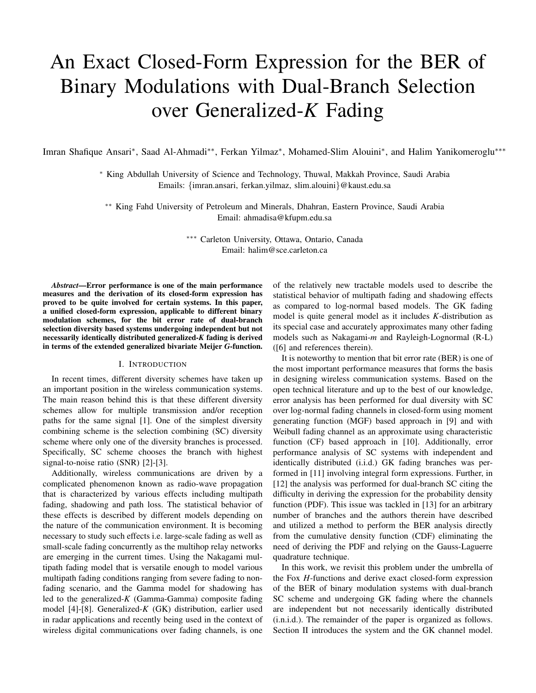# An Exact Closed-Form Expression for the BER of Binary Modulations with Dual-Branch Selection over Generalized-*K* Fading

Imran Shafique Ansari*∗* , Saad Al-Ahmadi*∗∗*, Ferkan Yilmaz*∗* , Mohamed-Slim Alouini*∗* , and Halim Yanikomeroglu*∗∗∗*

*<sup>∗</sup>* King Abdullah University of Science and Technology, Thuwal, Makkah Province, Saudi Arabia Emails: *{*imran.ansari, ferkan.yilmaz, slim.alouini*}*@kaust.edu.sa

*∗∗* King Fahd University of Petroleum and Minerals, Dhahran, Eastern Province, Saudi Arabia Email: ahmadisa@kfupm.edu.sa

> *∗∗∗* Carleton University, Ottawa, Ontario, Canada Email: halim@sce.carleton.ca

*Abstract*—Error performance is one of the main performance measures and the derivation of its closed-form expression has proved to be quite involved for certain systems. In this paper, a unified closed-form expression, applicable to different binary modulation schemes, for the bit error rate of dual-branch selection diversity based systems undergoing independent but not necessarily identically distributed generalized-*K* fading is derived in terms of the extended generalized bivariate Meijer *G*-function.

## I. INTRODUCTION

In recent times, different diversity schemes have taken up an important position in the wireless communication systems. The main reason behind this is that these different diversity schemes allow for multiple transmission and/or reception paths for the same signal [1]. One of the simplest diversity combining scheme is the selection combining (SC) diversity scheme where only one of the diversity branches is processed. Specifically, SC scheme chooses the branch with highest signal-to-noise ratio (SNR) [2]-[3].

Additionally, wireless communications are driven by a complicated phenomenon known as radio-wave propagation that is characterized by various effects including multipath fading, shadowing and path loss. The statistical behavior of these effects is described by different models depending on the nature of the communication environment. It is becoming necessary to study such effects i.e. large-scale fading as well as small-scale fading concurrently as the multihop relay networks are emerging in the current times. Using the Nakagami multipath fading model that is versatile enough to model various multipath fading conditions ranging from severe fading to nonfading scenario, and the Gamma model for shadowing has led to the generalized-*K* (Gamma-Gamma) composite fading model [4]-[8]. Generalized-*K* (GK) distribution, earlier used in radar applications and recently being used in the context of wireless digital communications over fading channels, is one

of the relatively new tractable models used to describe the statistical behavior of multipath fading and shadowing effects as compared to log-normal based models. The GK fading model is quite general model as it includes *K*-distribution as its special case and accurately approximates many other fading models such as Nakagami-*m* and Rayleigh-Lognormal (R-L) ([6] and references therein).

It is noteworthy to mention that bit error rate (BER) is one of the most important performance measures that forms the basis in designing wireless communication systems. Based on the open technical literature and up to the best of our knowledge, error analysis has been performed for dual diversity with SC over log-normal fading channels in closed-form using moment generating function (MGF) based approach in [9] and with Weibull fading channel as an approximate using characteristic function (CF) based approach in [10]. Additionally, error performance analysis of SC systems with independent and identically distributed (i.i.d.) GK fading branches was performed in [11] involving integral form expressions. Further, in [12] the analysis was performed for dual-branch SC citing the difficulty in deriving the expression for the probability density function (PDF). This issue was tackled in [13] for an arbitrary number of branches and the authors therein have described and utilized a method to perform the BER analysis directly from the cumulative density function (CDF) eliminating the need of deriving the PDF and relying on the Gauss-Laguerre quadrature technique.

In this work, we revisit this problem under the umbrella of the Fox *H*-functions and derive exact closed-form expression of the BER of binary modulation systems with dual-branch SC scheme and undergoing GK fading where the channels are independent but not necessarily identically distributed (i.n.i.d.). The remainder of the paper is organized as follows. Section II introduces the system and the GK channel model.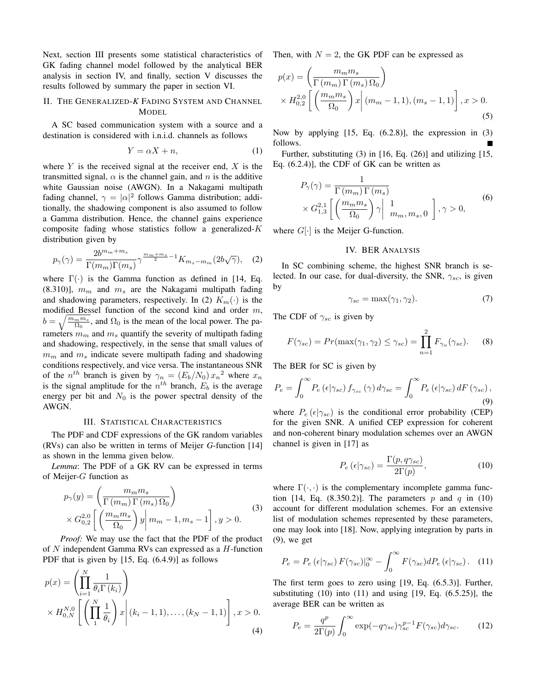Next, section III presents some statistical characteristics of GK fading channel model followed by the analytical BER analysis in section IV, and finally, section V discusses the results followed by summary the paper in section VI.

## II. THE GENERALIZED-*K* FADING SYSTEM AND CHANNEL MODEL

A SC based communication system with a source and a destination is considered with i.n.i.d. channels as follows

$$
Y = \alpha X + n,\tag{1}
$$

where *Y* is the received signal at the receiver end, *X* is the transmitted signal,  $\alpha$  is the channel gain, and  $n$  is the additive white Gaussian noise (AWGN). In a Nakagami multipath fading channel,  $\gamma = |\alpha|^2$  follows Gamma distribution; additionally, the shadowing component is also assumed to follow a Gamma distribution. Hence, the channel gains experience composite fading whose statistics follow a generalized-*K* distribution given by

$$
p_{\gamma}(\gamma) = \frac{2b^{m_m + m_s}}{\Gamma(m_m)\Gamma(m_s)} \gamma^{\frac{m_m + m_s}{2} - 1} K_{m_s - m_m}(2b\sqrt{\gamma}), \quad (2)
$$

where Γ(*·*) is the Gamma function as defined in [14, Eq. (8.310)], *m<sup>m</sup>* and *m<sup>s</sup>* are the Nakagami multipath fading and shadowing parameters, respectively. In (2)  $K_m(\cdot)$  is the modified Bessel function of the second kind and order *m*,  $b = \sqrt{\frac{m_m m_s}{\Omega_0}}$ , and  $\Omega_0$  is the mean of the local power. The parameters *m<sup>m</sup>* and *m<sup>s</sup>* quantify the severity of multipath fading and shadowing, respectively, in the sense that small values of *m<sup>m</sup>* and *m<sup>s</sup>* indicate severe multipath fading and shadowing conditions respectively, and vice versa. The instantaneous SNR of the  $n^{th}$  branch is given by  $\gamma_n = (E_b/N_0) x_n^2$  where  $x_n$ is the signal amplitude for the  $n^{th}$  branch,  $E_b$  is the average energy per bit and  $N_0$  is the power spectral density of the AWGN.

#### III. STATISTICAL CHARACTERISTICS

The PDF and CDF expressions of the GK random variables (RVs) can also be written in terms of Meijer *G*-function [14] as shown in the lemma given below.

*Lemma*: The PDF of a GK RV can be expressed in terms of Meijer-*G* function as

$$
p_{\gamma}(y) = \left(\frac{m_m m_s}{\Gamma(m_m)\Gamma(m_s)\Omega_0}\right)
$$
  
 
$$
\times G_{0,2}^{2,0} \left[ \left(\frac{m_m m_s}{\Omega_0}\right) y \middle| m_m - 1, m_s - 1 \right], y > 0.
$$
 (3)

*Proof:* We may use the fact that the PDF of the product of *N* independent Gamma RVs can expressed as a *H*-function PDF that is given by [15, Eq. (6.4.9)] as follows

$$
p(x) = \left(\prod_{i=1}^{N} \frac{1}{\theta_i \Gamma(k_i)}\right)
$$
  
 
$$
\times H_{0,N}^{N,0} \left[ \left(\prod_{1}^{N} \frac{1}{\theta_i}\right) x \right] (k_i - 1, 1), \dots, (k_N - 1, 1) \right], x > 0.
$$
  
(4)

Then, with  $N = 2$ , the GK PDF can be expressed as

$$
p(x) = \left(\frac{m_m m_s}{\Gamma(m_m)\Gamma(m_s)\Omega_0}\right)
$$
  
 
$$
\times H_{0,2}^{2,0} \left[ \left(\frac{m_m m_s}{\Omega_0}\right) x \middle| (m_m - 1, 1), (m_s - 1, 1) \right], x > 0.
$$
 (5)

Now by applying [15, Eq. (6.2.8)], the expression in (3) follows.

Further, substituting (3) in [16, Eq. (26)] and utilizing [15, Eq. (6.2.4)], the CDF of GK can be written as

$$
P_{\gamma}(\gamma) = \frac{1}{\Gamma(m_m)\Gamma(m_s)}
$$
  
 
$$
\times G_{1,3}^{2,1} \left[ \left( \frac{m_m m_s}{\Omega_0} \right) \gamma \middle| \begin{array}{c} 1 \\ m_m, m_s, 0 \end{array} \right], \gamma > 0,
$$
 (6)

where  $G[\cdot]$  is the Meijer G-function.

## IV. BER ANALYSIS

In SC combining scheme, the highest SNR branch is selected. In our case, for dual-diversity, the SNR, *γsc*, is given by

$$
\gamma_{sc} = \max(\gamma_1, \gamma_2). \tag{7}
$$

The CDF of *γsc* is given by

$$
F(\gamma_{sc}) = Pr(\max(\gamma_1, \gamma_2) \le \gamma_{sc}) = \prod_{n=1}^{2} F_{\gamma_n}(\gamma_{sc}).
$$
 (8)

The BER for SC is given by

$$
P_e = \int_0^\infty P_e(\epsilon|\gamma_{sc}) f_{\gamma_{sc}}(\gamma) d\gamma_{sc} = \int_0^\infty P_e(\epsilon|\gamma_{sc}) dF(\gamma_{sc}),
$$
\n(9)

where  $P_e$  ( $\epsilon | \gamma_{sc}$ ) is the conditional error probability (CEP) for the given SNR. A unified CEP expression for coherent and non-coherent binary modulation schemes over an AWGN channel is given in [17] as

$$
P_e\left(\epsilon|\gamma_{sc}\right) = \frac{\Gamma(p, q\gamma_{sc})}{2\Gamma(p)},\tag{10}
$$

where  $\Gamma(\cdot, \cdot)$  is the complementary incomplete gamma function [14, Eq.  $(8.350.2)$ ]. The parameters p and q in (10) account for different modulation schemes. For an extensive list of modulation schemes represented by these parameters, one may look into [18]. Now, applying integration by parts in (9), we get

$$
P_e = P_e \left( \epsilon |\gamma_{sc} \rangle F(\gamma_{sc})|_0^{\infty} - \int_0^{\infty} F(\gamma_{sc}) dP_e \left( \epsilon |\gamma_{sc} \rangle . \right) \tag{11}
$$

The first term goes to zero using [19, Eq. (6.5.3)]. Further, substituting  $(10)$  into  $(11)$  and using  $[19, Eq. (6.5.25)]$ , the average BER can be written as

$$
P_e = \frac{q^p}{2\Gamma(p)} \int_0^\infty \exp(-q\gamma_{sc}) \gamma_{sc}^{p-1} F(\gamma_{sc}) d\gamma_{sc}.
$$
 (12)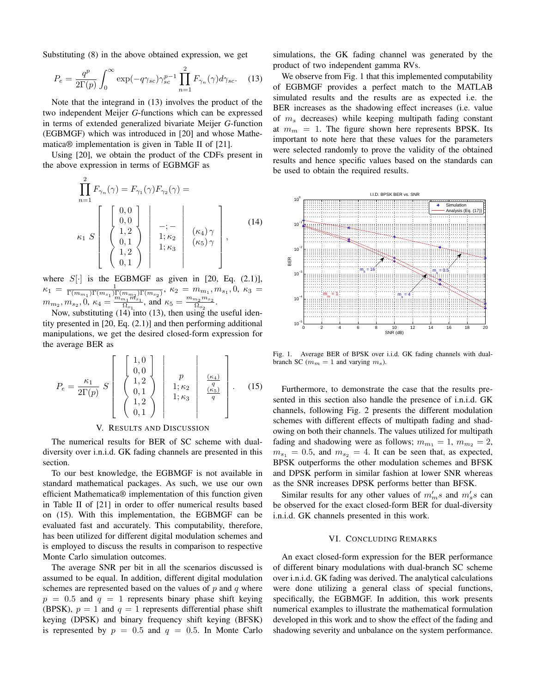Substituting (8) in the above obtained expression, we get

$$
P_e = \frac{q^p}{2\Gamma(p)} \int_0^\infty \exp(-q\gamma_{sc}) \gamma_{sc}^{p-1} \prod_{n=1}^2 F_{\gamma_n}(\gamma) d\gamma_{sc}.
$$
 (13)

Note that the integrand in (13) involves the product of the two independent Meijer *G*-functions which can be expressed in terms of extended generalized bivariate Meijer *G*-function (EGBMGF) which was introduced in [20] and whose Mathematica® implementation is given in Table II of [21].

Using [20], we obtain the product of the CDFs present in the above expression in terms of EGBMGF as

$$
\prod_{n=1}^{2} F_{\gamma_n}(\gamma) = F_{\gamma_1}(\gamma) F_{\gamma_2}(\gamma) =
$$
\n
$$
\kappa_1 S \begin{bmatrix} 0,0 \\ 0,0 \\ 1,2 \\ 0,1 \\ 1,2 \\ 0,1 \end{bmatrix} \begin{bmatrix} -; \\ -; \\ 1; \kappa_2 \\ 1; \kappa_3 \\ 1; \kappa_3 \end{bmatrix} \begin{bmatrix} (\kappa_4) \gamma \\ (\kappa_5) \gamma \\ (\kappa_5) \gamma \\ \end{bmatrix},
$$
\n(14)

where  $S[\cdot]$  is the EGBMGF as given in [20, Eq. (2.1)],  $\kappa_1 = \frac{1}{\Gamma(m_{m_1})\Gamma(m_{s_1})\Gamma(m_{m_2})\Gamma(m_{s_2})}, \ \kappa_2 = m_{m_1}, m_{s_1}, 0, \ \kappa_3 =$  $m_{m_2}, m_{s_2}, 0, \kappa_4 = \frac{m_{m_1} m_{s_1}}{\Omega_{\odot}}$  $\frac{m_1 m_{s_1}}{n_0}$ , and  $\kappa_5 = \frac{m_{m_2} m_{s_2}}{n_{o_2}}$  $\frac{n_2m_{s_2}}{\Omega_{o_2}}$ .

Now, substituting  $(14)$  into  $(13)$ , then using the useful identity presented in [20, Eq. (2.1)] and then performing additional manipulations, we get the desired closed-form expression for the average BER as

$$
P_e = \frac{\kappa_1}{2\Gamma(p)} S \begin{bmatrix} 1, 0\\ 0, 0\\ 1, 2\\ 0, 1\\ 1, 2\\ 0, 1 \end{bmatrix} \begin{bmatrix} p\\ 1; \kappa_2\\ 1; \kappa_3\\ 1; \kappa_3 \end{bmatrix} \begin{bmatrix} \frac{\kappa_4}{q} \end{bmatrix} . \quad (15)
$$

## V. RESULTS AND DISCUSSION

The numerical results for BER of SC scheme with dualdiversity over i.n.i.d. GK fading channels are presented in this section.

To our best knowledge, the EGBMGF is not available in standard mathematical packages. As such, we use our own efficient Mathematica® implementation of this function given in Table II of [21] in order to offer numerical results based on (15). With this implementation, the EGBMGF can be evaluated fast and accurately. This computability, therefore, has been utilized for different digital modulation schemes and is employed to discuss the results in comparison to respective Monte Carlo simulation outcomes.

The average SNR per bit in all the scenarios discussed is assumed to be equal. In addition, different digital modulation schemes are represented based on the values of *p* and *q* where  $p = 0.5$  and  $q = 1$  represents binary phase shift keying (BPSK),  $p = 1$  and  $q = 1$  represents differential phase shift keying (DPSK) and binary frequency shift keying (BFSK) is represented by  $p = 0.5$  and  $q = 0.5$ . In Monte Carlo

simulations, the GK fading channel was generated by the product of two independent gamma RVs.

We observe from Fig. 1 that this implemented computability of EGBMGF provides a perfect match to the MATLAB simulated results and the results are as expected i.e. the BER increases as the shadowing effect increases (i.e. value of *m<sup>s</sup>* decreases) while keeping multipath fading constant at  $m_m = 1$ . The figure shown here represents BPSK. Its important to note here that these values for the parameters were selected randomly to prove the validity of the obtained results and hence specific values based on the standards can be used to obtain the required results.



Fig. 1. Average BER of BPSK over i.i.d. GK fading channels with dualbranch SC ( $m_m = 1$  and varying  $m_s$ ).

Furthermore, to demonstrate the case that the results presented in this section also handle the presence of i.n.i.d. GK channels, following Fig. 2 presents the different modulation schemes with different effects of multipath fading and shadowing on both their channels. The values utilized for multipath fading and shadowing were as follows;  $m_{m_1} = 1$ ,  $m_{m_2} = 2$ ,  $m_{s_1} = 0.5$ , and  $m_{s_2} = 4$ . It can be seen that, as expected, BPSK outperforms the other modulation schemes and BFSK and DPSK perform in similar fashion at lower SNR whereas as the SNR increases DPSK performs better than BFSK.

Similar results for any other values of  $m'_m s$  and  $m'_s s$  can be observed for the exact closed-form BER for dual-diversity i.n.i.d. GK channels presented in this work.

#### VI. CONCLUDING REMARKS

An exact closed-form expression for the BER performance of different binary modulations with dual-branch SC scheme over i.n.i.d. GK fading was derived. The analytical calculations were done utilizing a general class of special functions, specifically, the EGBMGF. In addition, this work presents numerical examples to illustrate the mathematical formulation developed in this work and to show the effect of the fading and shadowing severity and unbalance on the system performance.